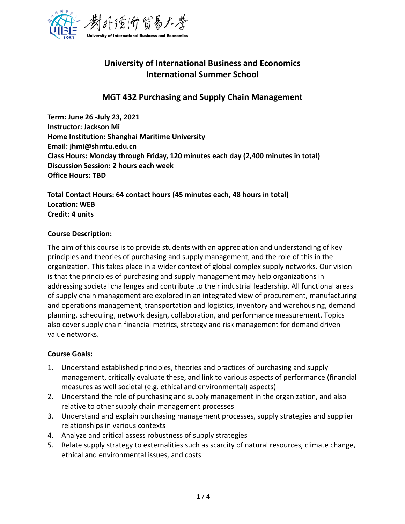

# **University of International Business and Economics International Summer School**

## **MGT 432 Purchasing and Supply Chain Management**

**Term: June 26 -July 23, 2021 Instructor: Jackson Mi Home Institution: Shanghai Maritime University Email: jhmi@shmtu.edu.cn Class Hours: Monday through Friday, 120 minutes each day (2,400 minutes in total) Discussion Session: 2 hours each week Office Hours: TBD**

**Total Contact Hours: 64 contact hours (45 minutes each, 48 hours in total) Location: WEB Credit: 4 units**

## **Course Description:**

The aim of this course is to provide students with an appreciation and understanding of key principles and theories of purchasing and supply management, and the role of this in the organization. This takes place in a wider context of global complex supply networks. Our vision is that the principles of purchasing and supply management may help organizations in addressing societal challenges and contribute to their industrial leadership. All functional areas of supply chain management are explored in an integrated view of procurement, manufacturing and operations management, transportation and logistics, inventory and warehousing, demand planning, scheduling, network design, collaboration, and performance measurement. Topics also cover supply chain financial metrics, strategy and risk management for demand driven value networks.

## **Course Goals:**

- 1. Understand established principles, theories and practices of purchasing and supply management, critically evaluate these, and link to various aspects of performance (financial measures as well societal (e.g. ethical and environmental) aspects)
- 2. Understand the role of purchasing and supply management in the organization, and also relative to other supply chain management processes
- 3. Understand and explain purchasing management processes, supply strategies and supplier relationships in various contexts
- 4. Analyze and critical assess robustness of supply strategies
- 5. Relate supply strategy to externalities such as scarcity of natural resources, climate change, ethical and environmental issues, and costs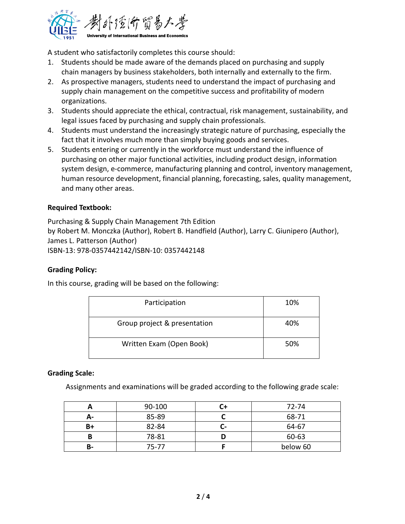

A student who satisfactorily completes this course should:

- 1. Students should be made aware of the demands placed on purchasing and supply chain managers by business stakeholders, both internally and externally to the firm.
- 2. As prospective managers, students need to understand the impact of purchasing and supply chain management on the competitive success and profitability of modern organizations.
- 3. Students should appreciate the ethical, contractual, risk management, sustainability, and legal issues faced by purchasing and supply chain professionals.
- 4. Students must understand the increasingly strategic nature of purchasing, especially the fact that it involves much more than simply buying goods and services.
- 5. Students entering or currently in the workforce must understand the influence of purchasing on other major functional activities, including product design, information system design, e-commerce, manufacturing planning and control, inventory management, human resource development, financial planning, forecasting, sales, quality management, and many other areas.

## **Required Textbook:**

Purchasing & Supply Chain Management 7th Edition by Robert M. Monczka (Author), Robert B. Handfield (Author), Larry C. Giunipero (Author), James L. Patterson (Author) ISBN-13: 978-0357442142/ISBN-10: 0357442148

## **Grading Policy:**

In this course, grading will be based on the following:

| Participation                | 10% |
|------------------------------|-----|
| Group project & presentation | 40% |
| Written Exam (Open Book)     | 50% |

## **Grading Scale:**

Assignments and examinations will be graded according to the following grade scale:

|      | 90-100 |     | 72-74    |
|------|--------|-----|----------|
| А-   | 85-89  |     | 68-71    |
| $B+$ | 82-84  | - 1 | 64-67    |
|      | 78-81  |     | 60-63    |
| В-   | 75-77  |     | below 60 |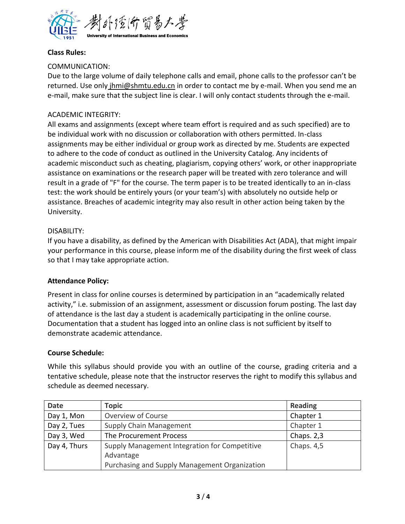

## **Class Rules:**

## COMMUNICATION:

Due to the large volume of daily telephone calls and email, phone calls to the professor can't be returned. Use only jhmi@shmtu.edu.cn in order to contact me by e-mail. When you send me an e-mail, make sure that the subject line is clear. I will only contact students through the e-mail.

## ACADEMIC INTEGRITY:

All exams and assignments (except where team effort is required and as such specified) are to be individual work with no discussion or collaboration with others permitted. In-class assignments may be either individual or group work as directed by me. Students are expected to adhere to the code of conduct as outlined in the University Catalog. Any incidents of academic misconduct such as cheating, plagiarism, copying others' work, or other inappropriate assistance on examinations or the research paper will be treated with zero tolerance and will result in a grade of "F" for the course. The term paper is to be treated identically to an in-class test: the work should be entirely yours (or your team's) with absolutely no outside help or assistance. Breaches of academic integrity may also result in other action being taken by the University.

## DISABILITY:

If you have a disability, as defined by the American with Disabilities Act (ADA), that might impair your performance in this course, please inform me of the disability during the first week of class so that I may take appropriate action.

## **Attendance Policy:**

Present in class for online courses is determined by participation in an "academically related activity," i.e. submission of an assignment, assessment or discussion forum posting. The last day of attendance is the last day a student is academically participating in the online course. Documentation that a student has logged into an online class is not sufficient by itself to demonstrate academic attendance.

## **Course Schedule:**

While this syllabus should provide you with an outline of the course, grading criteria and a tentative schedule, please note that the instructor reserves the right to modify this syllabus and schedule as deemed necessary.

| <b>Date</b>  | Topic                                         | <b>Reading</b> |
|--------------|-----------------------------------------------|----------------|
| Day 1, Mon   | Overview of Course                            | Chapter 1      |
| Day 2, Tues  | Supply Chain Management                       | Chapter 1      |
| Day 3, Wed   | The Procurement Process                       | Chaps. 2,3     |
| Day 4, Thurs | Supply Management Integration for Competitive | Chaps. 4,5     |
|              | Advantage                                     |                |
|              | Purchasing and Supply Management Organization |                |